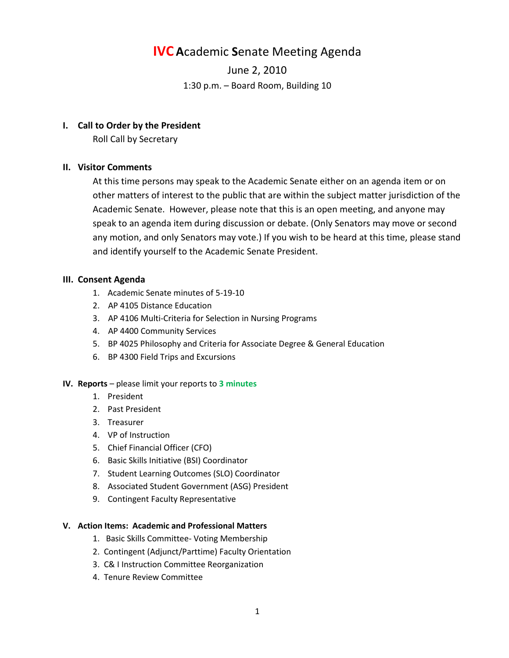# **IVC A**cademic **S**enate Meeting Agenda

June 2, 2010 1:30 p.m. – Board Room, Building 10

## **I. Call to Order by the President**

Roll Call by Secretary

# **II. Visitor Comments**

At this time persons may speak to the Academic Senate either on an agenda item or on other matters of interest to the public that are within the subject matter jurisdiction of the Academic Senate. However, please note that this is an open meeting, and anyone may speak to an agenda item during discussion or debate. (Only Senators may move or second any motion, and only Senators may vote.) If you wish to be heard at this time, please stand and identify yourself to the Academic Senate President.

## **III. Consent Agenda**

- 1. Academic Senate minutes of 5-19-10
- 2. AP 4105 Distance Education
- 3. AP 4106 Multi-Criteria for Selection in Nursing Programs
- 4. AP 4400 Community Services
- 5. BP 4025 Philosophy and Criteria for Associate Degree & General Education
- 6. BP 4300 Field Trips and Excursions

## **IV. Reports** – please limit your reports to **3 minutes**

- 1. President
- 2. Past President
- 3. Treasurer
- 4. VP of Instruction
- 5. Chief Financial Officer (CFO)
- 6. Basic Skills Initiative (BSI) Coordinator
- 7. Student Learning Outcomes (SLO) Coordinator
- 8. Associated Student Government (ASG) President
- 9. Contingent Faculty Representative

## **V. Action Items: Academic and Professional Matters**

- 1. Basic Skills Committee- Voting Membership
- 2. Contingent (Adjunct/Parttime) Faculty Orientation
- 3. C& I Instruction Committee Reorganization
- 4. Tenure Review Committee